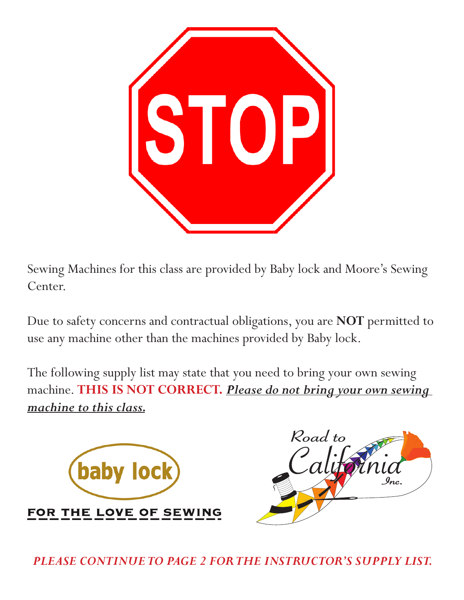

Sewing Machines for this class are provided by Baby lock and Moore's Sewing Center.

Due to safety concerns and contractual obligations, you are **NOT** permitted to use any machine other than the machines provided by Baby lock.

The following supply list may state that you need to bring your own sewing machine. **THIS IS NOT CORRECT.** *Please do not bring your own sewing machine to this class.*





*PLEASE CONTINUE TO PAGE 2 FOR THE INSTRUCTOR'S SUPPLY LIST.*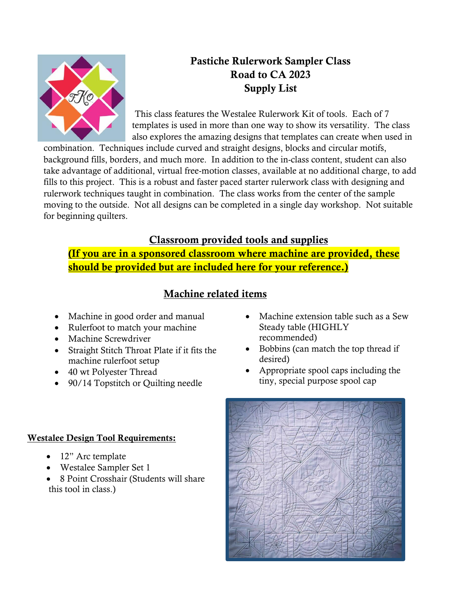

# Pastiche Rulerwork Sampler Class Road to CA 2023 Supply List

This class features the Westalee Rulerwork Kit of tools. Each of 7 templates is used in more than one way to show its versatility. The class also explores the amazing designs that templates can create when used in

combination. Techniques include curved and straight designs, blocks and circular motifs, background fills, borders, and much more. In addition to the in-class content, student can also take advantage of additional, virtual free-motion classes, available at no additional charge, to add fills to this project. This is a robust and faster paced starter rulerwork class with designing and rulerwork techniques taught in combination. The class works from the center of the sample moving to the outside. Not all designs can be completed in a single day workshop. Not suitable for beginning quilters.

### Classroom provided tools and supplies

(If you are in a sponsored classroom where machine are provided, these should be provided but are included here for your reference.)

## Machine related items

- Machine in good order and manual
- Rulerfoot to match your machine
- Machine Screwdriver
- Straight Stitch Throat Plate if it fits the machine rulerfoot setup
- 40 wt Polyester Thread
- 90/14 Topstitch or Quilting needle
- Machine extension table such as a Sew Steady table (HIGHLY recommended)
- Bobbins (can match the top thread if desired)
- Appropriate spool caps including the tiny, special purpose spool cap

#### Westalee Design Tool Requirements:

- 12" Arc template
- Westalee Sampler Set 1
- 8 Point Crosshair (Students will share this tool in class.)